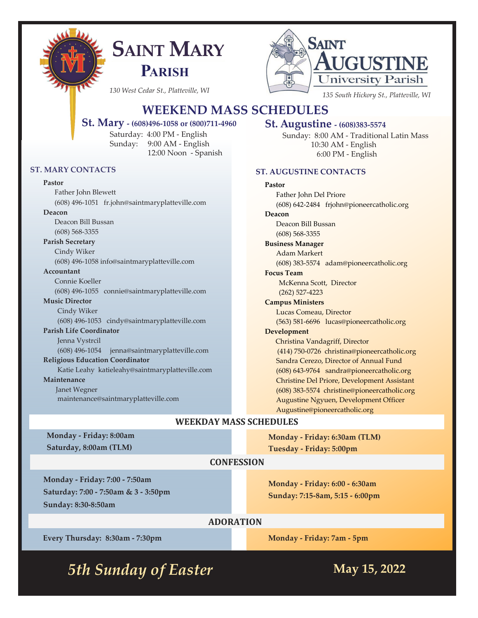

# **SAINT MARY PARISH**



# **WEEKEND MASS SCHEDULES**

#### **St. Mary - (608)496-1058 or (800)711-4960**

Saturday: 4:00 PM - English Sunday: 9:00 AM - English 12:00 Noon - Spanish

#### **ST. MARY CONTACTS**

#### **Pastor**

Father John Blewett (608) 496-1051 fr.john@saintmaryplatteville.com **Deacon** Deacon Bill Bussan (608) 568-3355 **Parish Secretary** Cindy Wiker (608) 496-1058 info@saintmaryplatteville.com **Accountant** Connie Koeller (608) 496-1055 connie@saintmaryplatteville.com **Music Director** Cindy Wiker (608) 496-1053 cindy@saintmaryplatteville.com **Parish Life Coordinator**  Jenna Vystrcil (608) 496-1054 jenna@saintmaryplatteville.com **Religious Education Coordinator** Katie Leahy katieleahy@saintmaryplatteville.com **Maintenance** Janet Wegner maintenance@saintmaryplatteville.com

#### **St. Augustine - (608)383-5574**

Sunday: 8:00 AM - Traditional Latin Mass 10:30 AM - English 6:00 PM - English

#### **ST. AUGUSTINE CONTACTS**

#### **Pastor**

Father John Del Priore (608) 642-2484 frjohn@pioneercatholic.org **Deacon** Deacon Bill Bussan (608) 568-3355 **Business Manager** Adam Markert (608) 383-5574 adam@pioneercatholic.org **Focus Team** McKenna Scott, Director (262) 527-4223 **Campus Ministers** Lucas Comeau, Director (563) 581-6696 lucas@pioneercatholic.org **Development** Christina Vandagriff, Director (414) 750-0726 christina@pioneercatholic.org Sandra Cerezo, Director of Annual Fund (608) 643-9764 sandra@pioneercatholic.org Christine Del Priore, Development Assistant (608) 383-5574 christine@pioneercatholic.org Augustine Ngyuen, Development Officer Augustine@pioneercatholic.org

#### **WEEKDAY MASS SCHEDULES**

**Monday - Friday: 8:00am Saturday, 8:00am (TLM)**

**Monday - Friday: 6:30am (TLM) Tuesday - Friday: 5:00pm**

#### **CONFESSION**

**Monday - Friday: 7:00 - 7:50am Saturday: 7:00 - 7:50am & 3 - 3:50pm Sunday: 8:30-8:50am**

**Monday - Friday: 6:00 - 6:30am Sunday: 7:15-8am, 5:15 - 6:00pm**

# **ADORATION**

**Every Thursday: 8:30am - 7:30pm**

**Monday - Friday: 7am - 5pm**

*5th Sunday of Easter May 15, 2022*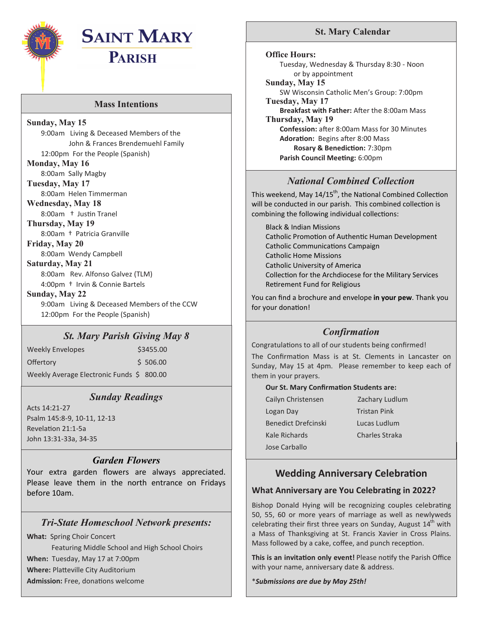

# **SAINT MARY**

**PARISH**

#### **Mass Intentions**

**Sunday, May 15** 9:00am Living & Deceased Members of the John & Frances Brendemuehl Family 12:00pm For the People (Spanish) **Monday, May 16** 8:00am Sally Magby **Tuesday, May 17** 8:00am Helen Timmerman **Wednesday, May 18** 8:00am † Justin Tranel **Thursday, May 19** 8:00am † Patricia Granville **Friday, May 20** 8:00am Wendy Campbell **Saturday, May 21** 8:00am Rev. Alfonso Galvez (TLM) 4:00pm † Irvin & Connie Bartels **Sunday, May 22** 9:00am Living & Deceased Members of the CCW 12:00pm For the People (Spanish)

#### *St. Mary Parish Giving May 8*

Weekly Envelopes \$3455.00 Offertory \$506.00 Weekly Average Electronic Funds \$ 800.00

# *Sunday Readings*

Acts 14:21-27 Psalm 145:8-9, 10-11, 12-13 Revelation 21:1-5a John 13:31-33a, 34-35

#### *Garden Flowers*

Your extra garden flowers are always appreciated. Please leave them in the north entrance on Fridays before 10am.

# *Tri-State Homeschool Network presents:*

**What:** Spring Choir Concert

 Featuring Middle School and High School Choirs **When:** Tuesday, May 17 at 7:00pm **Where:** Platteville City Auditorium **Admission:** Free, donations welcome

### **St. Mary Calendar**

**Office Hours:**

Tuesday, Wednesday & Thursday 8:30 - Noon or by appointment

**Sunday, May 15** SW Wisconsin Catholic Men's Group: 7:00pm **Tuesday, May 17**

**Breakfast with Father:** After the 8:00am Mass **Thursday, May 19 Confession:** after 8:00am Mass for 30 Minutes **Adoration:** Begins after 8:00 Mass **Rosary & Benediction:** 7:30pm **Parish Council Meeting:** 6:00pm

# *National Combined Collection*

This weekend, May  $14/15^{th}$ , the National Combined Collection will be conducted in our parish. This combined collection is combining the following individual collections:

Black & Indian Missions Catholic Promotion of Authentic Human Development Catholic Communications Campaign Catholic Home Missions Catholic University of America Collection for the Archdiocese for the Military Services Retirement Fund for Religious

You can find a brochure and envelope **in your pew**. Thank you for your donation!

# *Confirmation*

Congratulations to all of our students being confirmed!

The Confirmation Mass is at St. Clements in Lancaster on Sunday, May 15 at 4pm. Please remember to keep each of them in your prayers.

#### **Our St. Mary Confirmation Students are:**

| Cailyn Christensen         | Zachary Ludlum      |
|----------------------------|---------------------|
| Logan Day                  | <b>Tristan Pink</b> |
| <b>Benedict Drefcinski</b> | <b>Lucas Ludlum</b> |
| Kale Richards              | Charles Straka      |
| Jose Carballo              |                     |
|                            |                     |

# **Wedding Anniversary Celebration**

#### **What Anniversary are You Celebrating in 2022?**

Bishop Donald Hying will be recognizing couples celebrating 50, 55, 60 or more years of marriage as well as newlyweds celebrating their first three years on Sunday, August  $14<sup>th</sup>$  with a Mass of Thanksgiving at St. Francis Xavier in Cross Plains. Mass followed by a cake, coffee, and punch reception.

**This is an invitation only event!** Please notify the Parish Office with your name, anniversary date & address.

\**Submissions are due by May 25th!*